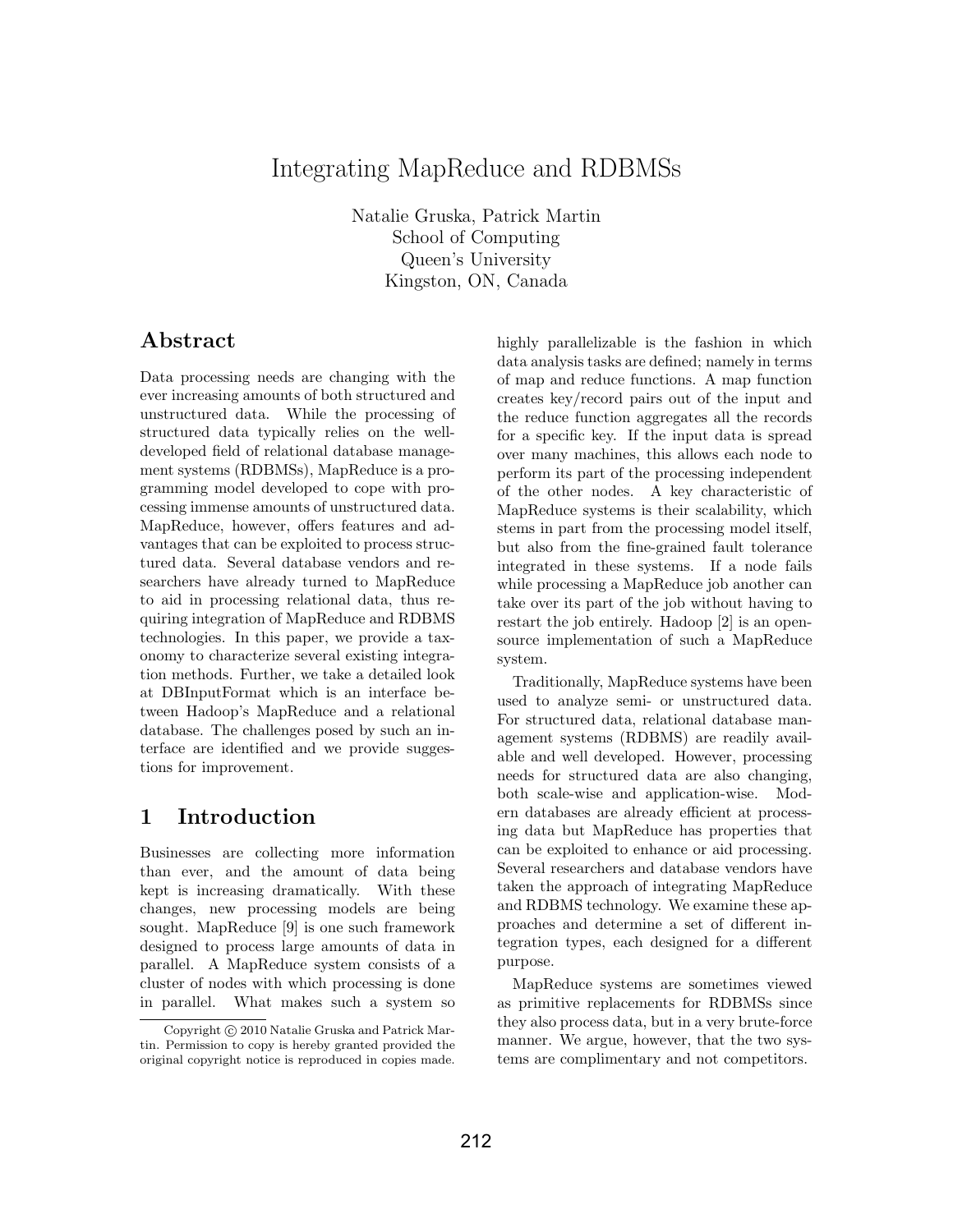# Integrating MapReduce and RDBMSs

Natalie Gruska, Patrick Martin School of Computing Queen's University Kingston, ON, Canada

## Abstract

Data processing needs are changing with the ever increasing amounts of both structured and unstructured data. While the processing of structured data typically relies on the welldeveloped field of relational database management systems (RDBMSs), MapReduce is a programming model developed to cope with processing immense amounts of unstructured data. MapReduce, however, offers features and advantages that can be exploited to process structured data. Several database vendors and researchers have already turned to MapReduce to aid in processing relational data, thus requiring integration of MapReduce and RDBMS technologies. In this paper, we provide a taxonomy to characterize several existing integration methods. Further, we take a detailed look at DBInputFormat which is an interface between Hadoop's MapReduce and a relational database. The challenges posed by such an interface are identified and we provide suggestions for improvement.

# 1 Introduction

Businesses are collecting more information than ever, and the amount of data being kept is increasing dramatically. With these changes, new processing models are being sought. MapReduce [9] is one such framework designed to process large amounts of data in parallel. A MapReduce system consists of a cluster of nodes with which processing is done in parallel. What makes such a system so highly parallelizable is the fashion in which data analysis tasks are defined; namely in terms of map and reduce functions. A map function creates key/record pairs out of the input and the reduce function aggregates all the records for a specific key. If the input data is spread over many machines, this allows each node to perform its part of the processing independent of the other nodes. A key characteristic of MapReduce systems is their scalability, which stems in part from the processing model itself, but also from the fine-grained fault tolerance integrated in these systems. If a node fails while processing a MapReduce job another can take over its part of the job without having to restart the job entirely. Hadoop [2] is an opensource implementation of such a MapReduce system.

Traditionally, MapReduce systems have been used to analyze semi- or unstructured data. For structured data, relational database management systems (RDBMS) are readily available and well developed. However, processing needs for structured data are also changing, both scale-wise and application-wise. Modern databases are already efficient at processing data but MapReduce has properties that can be exploited to enhance or aid processing. Several researchers and database vendors have taken the approach of integrating MapReduce and RDBMS technology. We examine these approaches and determine a set of different integration types, each designed for a different purpose.

MapReduce systems are sometimes viewed as primitive replacements for RDBMSs since they also process data, but in a very brute-force manner. We argue, however, that the two systems are complimentary and not competitors.

Copyright © 2010 Natalie Gruska and Patrick Martin. Permission to copy is hereby granted provided the original copyright notice is reproduced in copies made.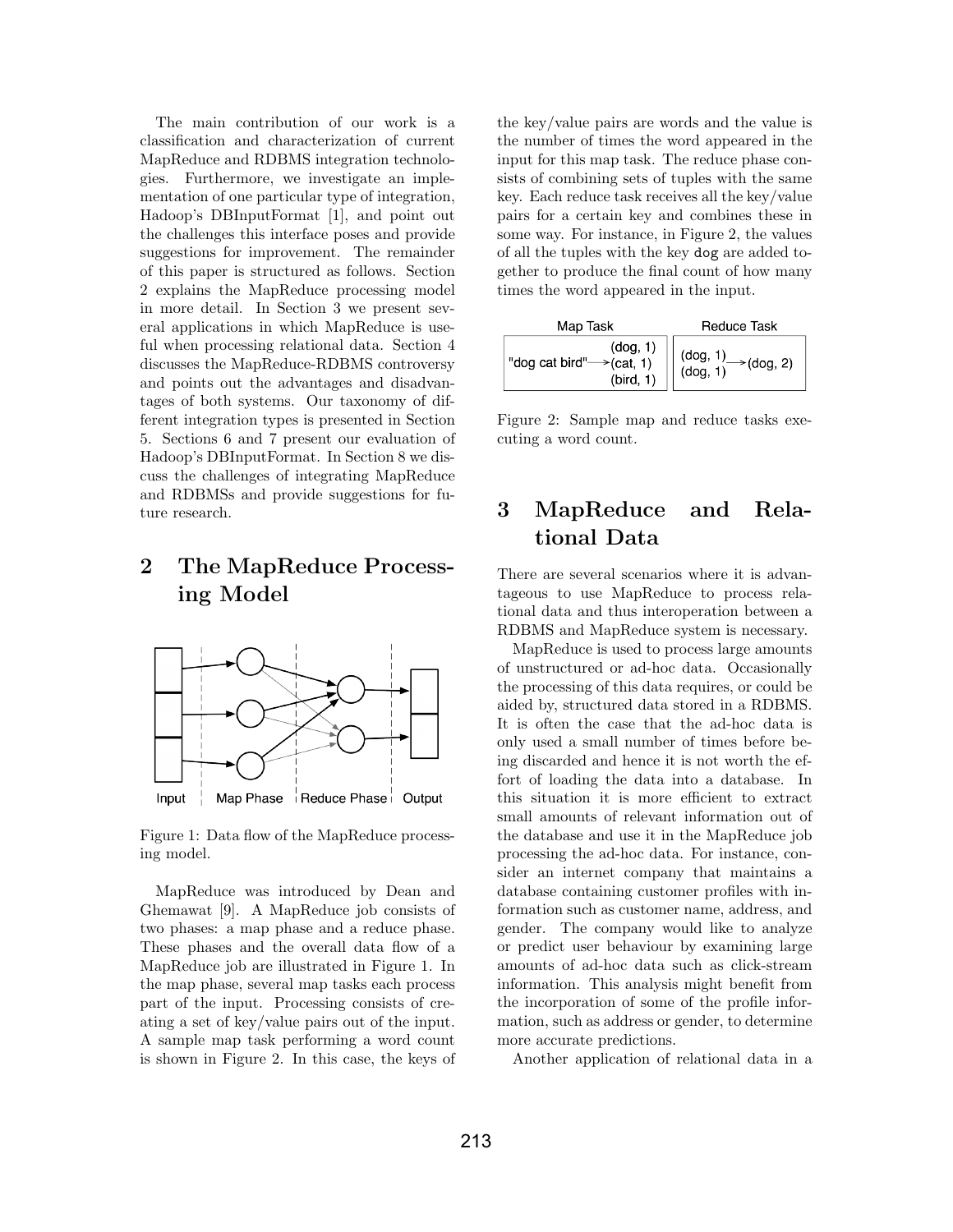The main contribution of our work is a classification and characterization of current MapReduce and RDBMS integration technologies. Furthermore, we investigate an implementation of one particular type of integration, Hadoop's DBInputFormat [1], and point out the challenges this interface poses and provide suggestions for improvement. The remainder of this paper is structured as follows. Section 2 explains the MapReduce processing model in more detail. In Section 3 we present several applications in which MapReduce is useful when processing relational data. Section 4 discusses the MapReduce-RDBMS controversy and points out the advantages and disadvantages of both systems. Our taxonomy of different integration types is presented in Section 5. Sections 6 and 7 present our evaluation of Hadoop's DBInputFormat. In Section 8 we discuss the challenges of integrating MapReduce and RDBMSs and provide suggestions for future research.

# 2 The MapReduce Processing Model



Figure 1: Data flow of the MapReduce processing model.

MapReduce was introduced by Dean and Ghemawat [9]. A MapReduce job consists of two phases: a map phase and a reduce phase. These phases and the overall data flow of a MapReduce job are illustrated in Figure 1. In the map phase, several map tasks each process part of the input. Processing consists of creating a set of key/value pairs out of the input. A sample map task performing a word count is shown in Figure 2. In this case, the keys of the key/value pairs are words and the value is the number of times the word appeared in the input for this map task. The reduce phase consists of combining sets of tuples with the same key. Each reduce task receives all the key/value pairs for a certain key and combines these in some way. For instance, in Figure 2, the values of all the tuples with the key dog are added together to produce the final count of how many times the word appeared in the input.

| Map Task |                                                                | Reduce Task                                   |  |
|----------|----------------------------------------------------------------|-----------------------------------------------|--|
|          | (dog, 1)<br>"dog cat bird" $\rightarrow$ (cat, 1)<br>(bird, 1) | $(\text{dog}, 1) \rightarrow (\text{dog}, 2)$ |  |

Figure 2: Sample map and reduce tasks executing a word count.

# 3 MapReduce and Relational Data

There are several scenarios where it is advantageous to use MapReduce to process relational data and thus interoperation between a RDBMS and MapReduce system is necessary.

MapReduce is used to process large amounts of unstructured or ad-hoc data. Occasionally the processing of this data requires, or could be aided by, structured data stored in a RDBMS. It is often the case that the ad-hoc data is only used a small number of times before being discarded and hence it is not worth the effort of loading the data into a database. In this situation it is more efficient to extract small amounts of relevant information out of the database and use it in the MapReduce job processing the ad-hoc data. For instance, consider an internet company that maintains a database containing customer profiles with information such as customer name, address, and gender. The company would like to analyze or predict user behaviour by examining large amounts of ad-hoc data such as click-stream information. This analysis might benefit from the incorporation of some of the profile information, such as address or gender, to determine more accurate predictions.

Another application of relational data in a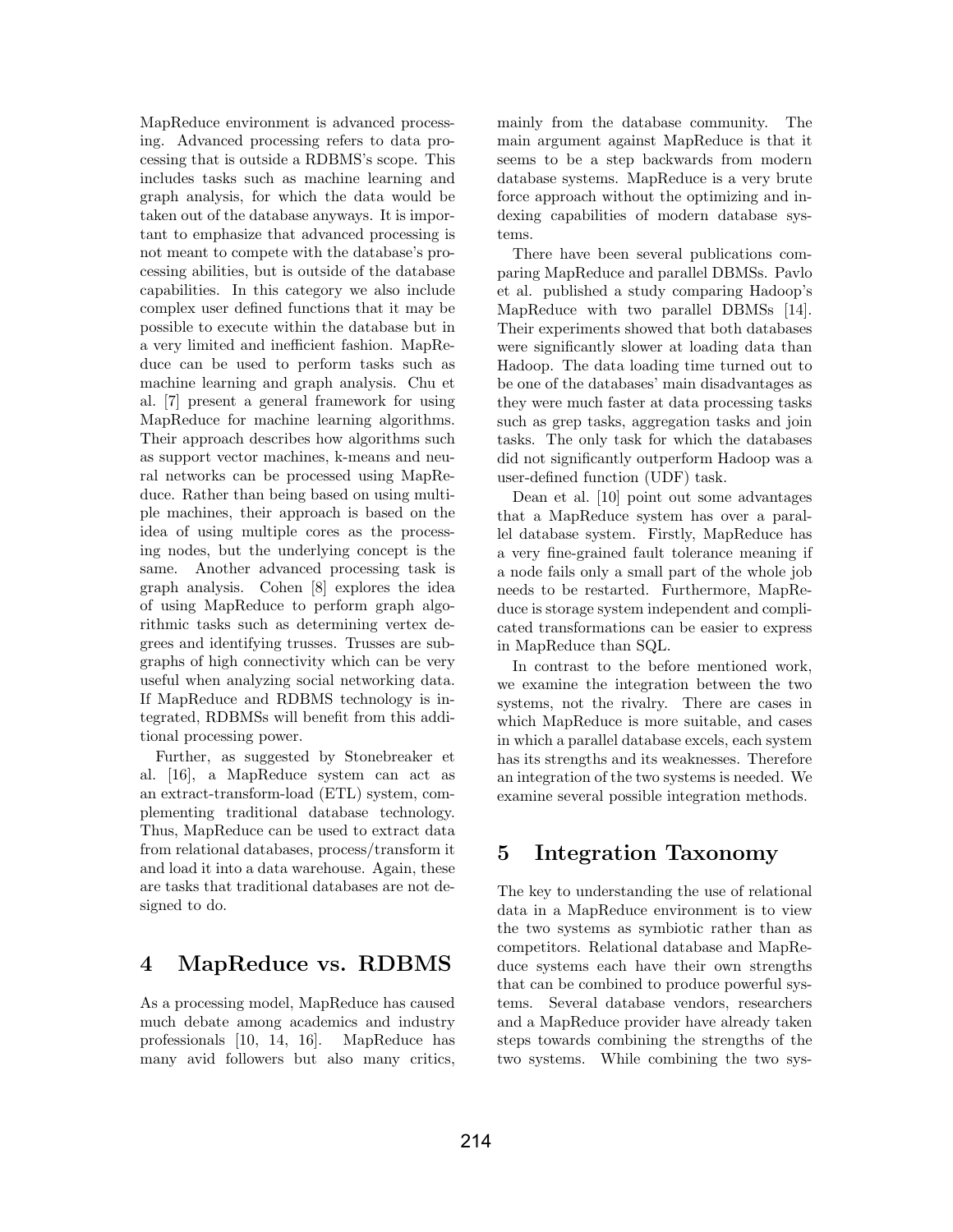MapReduce environment is advanced processing. Advanced processing refers to data processing that is outside a RDBMS's scope. This includes tasks such as machine learning and graph analysis, for which the data would be taken out of the database anyways. It is important to emphasize that advanced processing is not meant to compete with the database's processing abilities, but is outside of the database capabilities. In this category we also include complex user defined functions that it may be possible to execute within the database but in a very limited and inefficient fashion. MapReduce can be used to perform tasks such as machine learning and graph analysis. Chu et al. [7] present a general framework for using MapReduce for machine learning algorithms. Their approach describes how algorithms such as support vector machines, k-means and neural networks can be processed using MapReduce. Rather than being based on using multiple machines, their approach is based on the idea of using multiple cores as the processing nodes, but the underlying concept is the same. Another advanced processing task is graph analysis. Cohen [8] explores the idea of using MapReduce to perform graph algorithmic tasks such as determining vertex degrees and identifying trusses. Trusses are subgraphs of high connectivity which can be very useful when analyzing social networking data. If MapReduce and RDBMS technology is integrated, RDBMSs will benefit from this additional processing power.

Further, as suggested by Stonebreaker et al. [16], a MapReduce system can act as an extract-transform-load (ETL) system, complementing traditional database technology. Thus, MapReduce can be used to extract data from relational databases, process/transform it and load it into a data warehouse. Again, these are tasks that traditional databases are not designed to do.

## 4 MapReduce vs. RDBMS

As a processing model, MapReduce has caused much debate among academics and industry professionals [10, 14, 16]. MapReduce has many avid followers but also many critics, mainly from the database community. The main argument against MapReduce is that it seems to be a step backwards from modern database systems. MapReduce is a very brute force approach without the optimizing and indexing capabilities of modern database systems.

There have been several publications comparing MapReduce and parallel DBMSs. Pavlo et al. published a study comparing Hadoop's MapReduce with two parallel DBMSs [14]. Their experiments showed that both databases were significantly slower at loading data than Hadoop. The data loading time turned out to be one of the databases' main disadvantages as they were much faster at data processing tasks such as grep tasks, aggregation tasks and join tasks. The only task for which the databases did not significantly outperform Hadoop was a user-defined function (UDF) task.

Dean et al. [10] point out some advantages that a MapReduce system has over a parallel database system. Firstly, MapReduce has a very fine-grained fault tolerance meaning if a node fails only a small part of the whole job needs to be restarted. Furthermore, MapReduce is storage system independent and complicated transformations can be easier to express in MapReduce than SQL.

In contrast to the before mentioned work, we examine the integration between the two systems, not the rivalry. There are cases in which MapReduce is more suitable, and cases in which a parallel database excels, each system has its strengths and its weaknesses. Therefore an integration of the two systems is needed. We examine several possible integration methods.

# 5 Integration Taxonomy

The key to understanding the use of relational data in a MapReduce environment is to view the two systems as symbiotic rather than as competitors. Relational database and MapReduce systems each have their own strengths that can be combined to produce powerful systems. Several database vendors, researchers and a MapReduce provider have already taken steps towards combining the strengths of the two systems. While combining the two sys-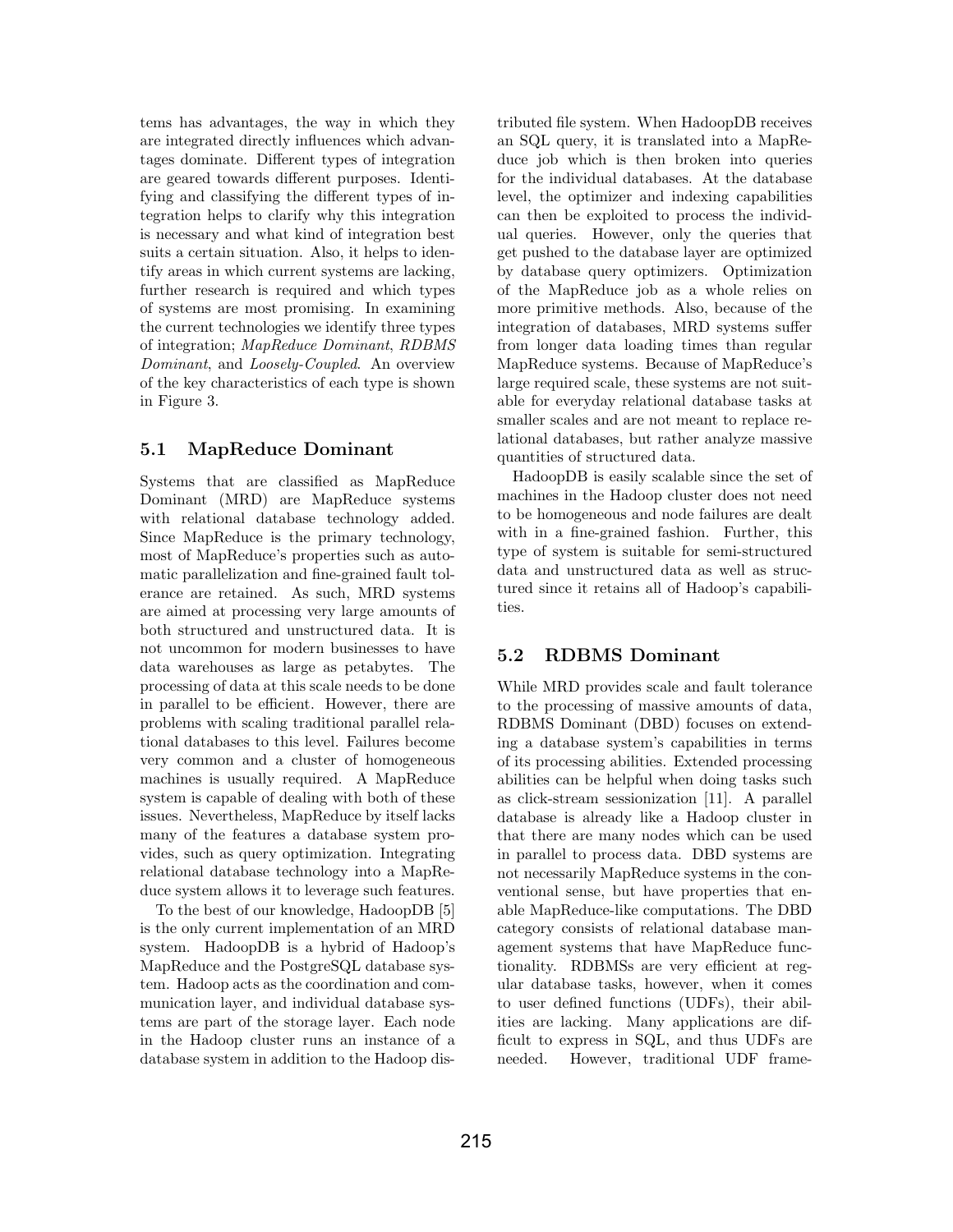tems has advantages, the way in which they are integrated directly influences which advantages dominate. Different types of integration are geared towards different purposes. Identifying and classifying the different types of integration helps to clarify why this integration is necessary and what kind of integration best suits a certain situation. Also, it helps to identify areas in which current systems are lacking, further research is required and which types of systems are most promising. In examining the current technologies we identify three types of integration; *MapReduce Dominant*, *RDBMS Dominant*, and *Loosely-Coupled*. An overview of the key characteristics of each type is shown in Figure 3.

### 5.1 MapReduce Dominant

Systems that are classified as MapReduce Dominant (MRD) are MapReduce systems with relational database technology added. Since MapReduce is the primary technology, most of MapReduce's properties such as automatic parallelization and fine-grained fault tolerance are retained. As such, MRD systems are aimed at processing very large amounts of both structured and unstructured data. It is not uncommon for modern businesses to have data warehouses as large as petabytes. The processing of data at this scale needs to be done in parallel to be efficient. However, there are problems with scaling traditional parallel relational databases to this level. Failures become very common and a cluster of homogeneous machines is usually required. A MapReduce system is capable of dealing with both of these issues. Nevertheless, MapReduce by itself lacks many of the features a database system provides, such as query optimization. Integrating relational database technology into a MapReduce system allows it to leverage such features.

To the best of our knowledge, HadoopDB [5] is the only current implementation of an MRD system. HadoopDB is a hybrid of Hadoop's MapReduce and the PostgreSQL database system. Hadoop acts as the coordination and communication layer, and individual database systems are part of the storage layer. Each node in the Hadoop cluster runs an instance of a database system in addition to the Hadoop distributed file system. When HadoopDB receives an SQL query, it is translated into a MapReduce job which is then broken into queries for the individual databases. At the database level, the optimizer and indexing capabilities can then be exploited to process the individual queries. However, only the queries that get pushed to the database layer are optimized by database query optimizers. Optimization of the MapReduce job as a whole relies on more primitive methods. Also, because of the integration of databases, MRD systems suffer from longer data loading times than regular MapReduce systems. Because of MapReduce's large required scale, these systems are not suitable for everyday relational database tasks at smaller scales and are not meant to replace relational databases, but rather analyze massive quantities of structured data.

HadoopDB is easily scalable since the set of machines in the Hadoop cluster does not need to be homogeneous and node failures are dealt with in a fine-grained fashion. Further, this type of system is suitable for semi-structured data and unstructured data as well as structured since it retains all of Hadoop's capabilities.

#### 5.2 RDBMS Dominant

While MRD provides scale and fault tolerance to the processing of massive amounts of data, RDBMS Dominant (DBD) focuses on extending a database system's capabilities in terms of its processing abilities. Extended processing abilities can be helpful when doing tasks such as click-stream sessionization [11]. A parallel database is already like a Hadoop cluster in that there are many nodes which can be used in parallel to process data. DBD systems are not necessarily MapReduce systems in the conventional sense, but have properties that enable MapReduce-like computations. The DBD category consists of relational database management systems that have MapReduce functionality. RDBMSs are very efficient at regular database tasks, however, when it comes to user defined functions (UDFs), their abilities are lacking. Many applications are difficult to express in SQL, and thus UDFs are needed. However, traditional UDF frame-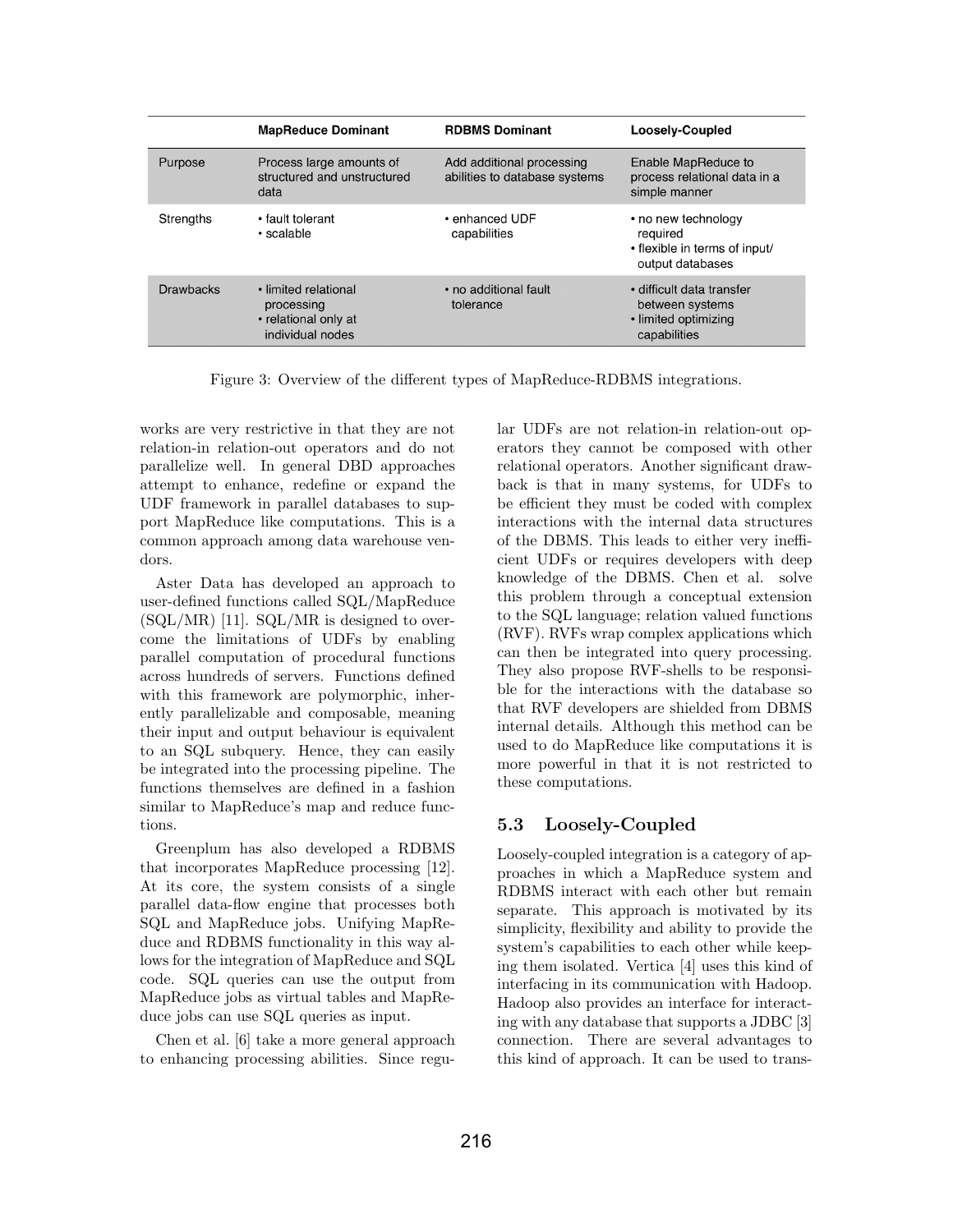|                  | <b>MapReduce Dominant</b>                                                      | <b>RDBMS Dominant</b>                                      | Loosely-Coupled                                                                      |
|------------------|--------------------------------------------------------------------------------|------------------------------------------------------------|--------------------------------------------------------------------------------------|
| Purpose          | Process large amounts of<br>structured and unstructured<br>data                | Add additional processing<br>abilities to database systems | Enable MapReduce to<br>process relational data in a<br>simple manner                 |
| Strengths        | • fault tolerant<br>• scalable                                                 | • enhanced UDF<br>capabilities                             | • no new technology<br>required<br>• flexible in terms of input/<br>output databases |
| <b>Drawbacks</b> | · limited relational<br>processing<br>• relational only at<br>individual nodes | • no additional fault<br>tolerance                         | · difficult data transfer<br>between systems<br>· limited optimizing<br>capabilities |

Figure 3: Overview of the different types of MapReduce-RDBMS integrations.

works are very restrictive in that they are not relation-in relation-out operators and do not parallelize well. In general DBD approaches attempt to enhance, redefine or expand the UDF framework in parallel databases to support MapReduce like computations. This is a common approach among data warehouse vendors.

Aster Data has developed an approach to user-defined functions called SQL/MapReduce  $(SQL/MR)$  [11].  $SQL/MR$  is designed to overcome the limitations of UDFs by enabling parallel computation of procedural functions across hundreds of servers. Functions defined with this framework are polymorphic, inherently parallelizable and composable, meaning their input and output behaviour is equivalent to an SQL subquery. Hence, they can easily be integrated into the processing pipeline. The functions themselves are defined in a fashion similar to MapReduce's map and reduce functions.

Greenplum has also developed a RDBMS that incorporates MapReduce processing [12]. At its core, the system consists of a single parallel data-flow engine that processes both SQL and MapReduce jobs. Unifying MapReduce and RDBMS functionality in this way allows for the integration of MapReduce and SQL code. SQL queries can use the output from MapReduce jobs as virtual tables and MapReduce jobs can use SQL queries as input.

Chen et al. [6] take a more general approach to enhancing processing abilities. Since regular UDFs are not relation-in relation-out operators they cannot be composed with other relational operators. Another significant drawback is that in many systems, for UDFs to be efficient they must be coded with complex interactions with the internal data structures of the DBMS. This leads to either very inefficient UDFs or requires developers with deep knowledge of the DBMS. Chen et al. solve this problem through a conceptual extension to the SQL language; relation valued functions (RVF). RVFs wrap complex applications which can then be integrated into query processing. They also propose RVF-shells to be responsible for the interactions with the database so that RVF developers are shielded from DBMS internal details. Although this method can be used to do MapReduce like computations it is more powerful in that it is not restricted to these computations.

#### 5.3 Loosely-Coupled

Loosely-coupled integration is a category of approaches in which a MapReduce system and RDBMS interact with each other but remain separate. This approach is motivated by its simplicity, flexibility and ability to provide the system's capabilities to each other while keeping them isolated. Vertica [4] uses this kind of interfacing in its communication with Hadoop. Hadoop also provides an interface for interacting with any database that supports a JDBC [3] connection. There are several advantages to this kind of approach. It can be used to trans-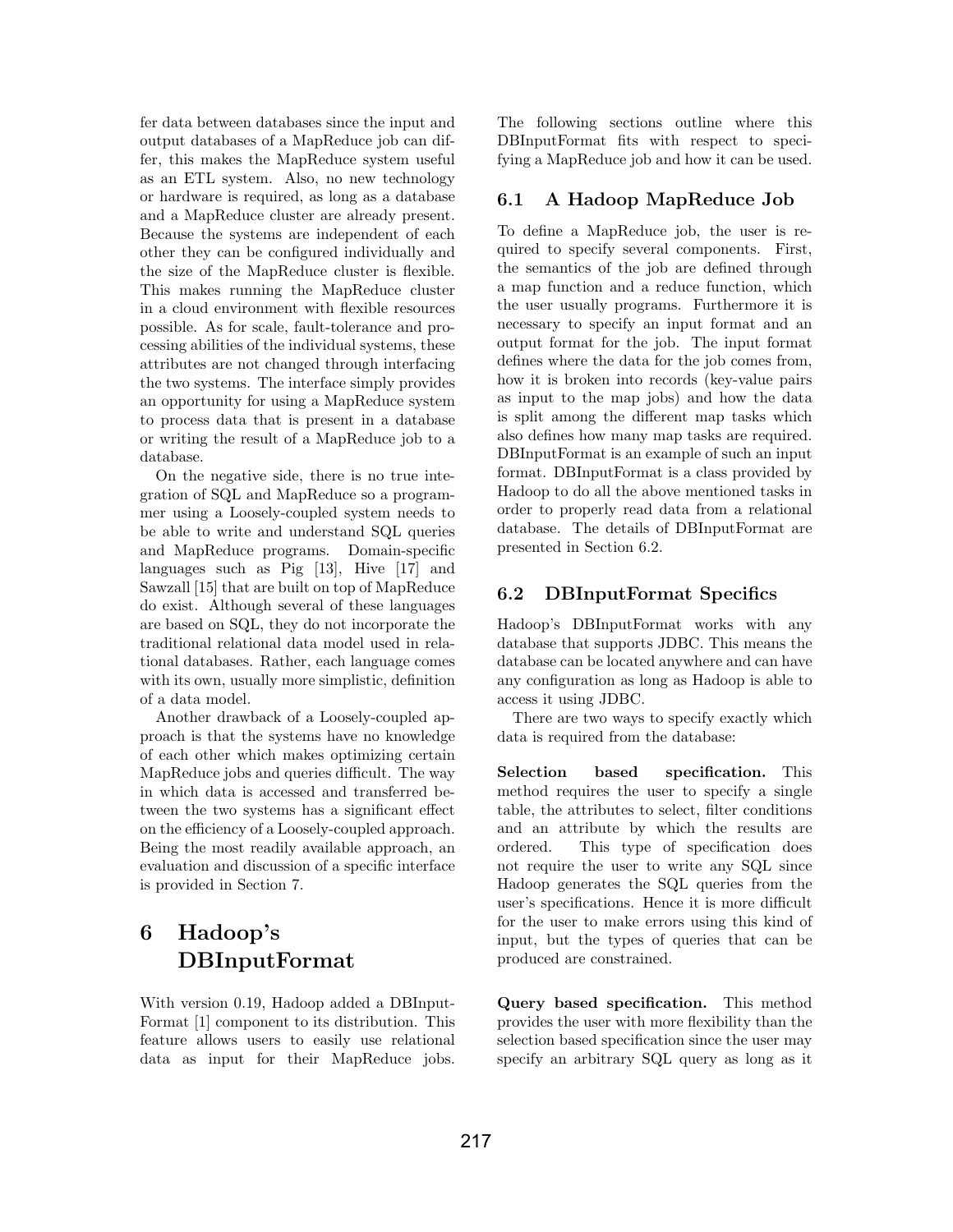fer data between databases since the input and output databases of a MapReduce job can differ, this makes the MapReduce system useful as an ETL system. Also, no new technology or hardware is required, as long as a database and a MapReduce cluster are already present. Because the systems are independent of each other they can be configured individually and the size of the MapReduce cluster is flexible. This makes running the MapReduce cluster in a cloud environment with flexible resources possible. As for scale, fault-tolerance and processing abilities of the individual systems, these attributes are not changed through interfacing the two systems. The interface simply provides an opportunity for using a MapReduce system to process data that is present in a database or writing the result of a MapReduce job to a database.

On the negative side, there is no true integration of SQL and MapReduce so a programmer using a Loosely-coupled system needs to be able to write and understand SQL queries and MapReduce programs. Domain-specific languages such as Pig [13], Hive [17] and Sawzall [15] that are built on top of MapReduce do exist. Although several of these languages are based on SQL, they do not incorporate the traditional relational data model used in relational databases. Rather, each language comes with its own, usually more simplistic, definition of a data model.

Another drawback of a Loosely-coupled approach is that the systems have no knowledge of each other which makes optimizing certain MapReduce jobs and queries difficult. The way in which data is accessed and transferred between the two systems has a significant effect on the efficiency of a Loosely-coupled approach. Being the most readily available approach, an evaluation and discussion of a specific interface is provided in Section 7.

# 6 Hadoop's DBInputFormat

With version 0.19, Hadoop added a DBInput-Format [1] component to its distribution. This feature allows users to easily use relational data as input for their MapReduce jobs.

The following sections outline where this DBInputFormat fits with respect to specifying a MapReduce job and how it can be used.

## 6.1 A Hadoop MapReduce Job

To define a MapReduce job, the user is required to specify several components. First, the semantics of the job are defined through a map function and a reduce function, which the user usually programs. Furthermore it is necessary to specify an input format and an output format for the job. The input format defines where the data for the job comes from, how it is broken into records (key-value pairs as input to the map jobs) and how the data is split among the different map tasks which also defines how many map tasks are required. DBInputFormat is an example of such an input format. DBInputFormat is a class provided by Hadoop to do all the above mentioned tasks in order to properly read data from a relational database. The details of DBInputFormat are presented in Section 6.2.

### 6.2 DBInputFormat Specifics

Hadoop's DBInputFormat works with any database that supports JDBC. This means the database can be located anywhere and can have any configuration as long as Hadoop is able to access it using JDBC.

There are two ways to specify exactly which data is required from the database:

Selection based specification. This method requires the user to specify a single table, the attributes to select, filter conditions and an attribute by which the results are ordered. This type of specification does not require the user to write any SQL since Hadoop generates the SQL queries from the user's specifications. Hence it is more difficult for the user to make errors using this kind of input, but the types of queries that can be produced are constrained.

Query based specification. This method provides the user with more flexibility than the selection based specification since the user may specify an arbitrary SQL query as long as it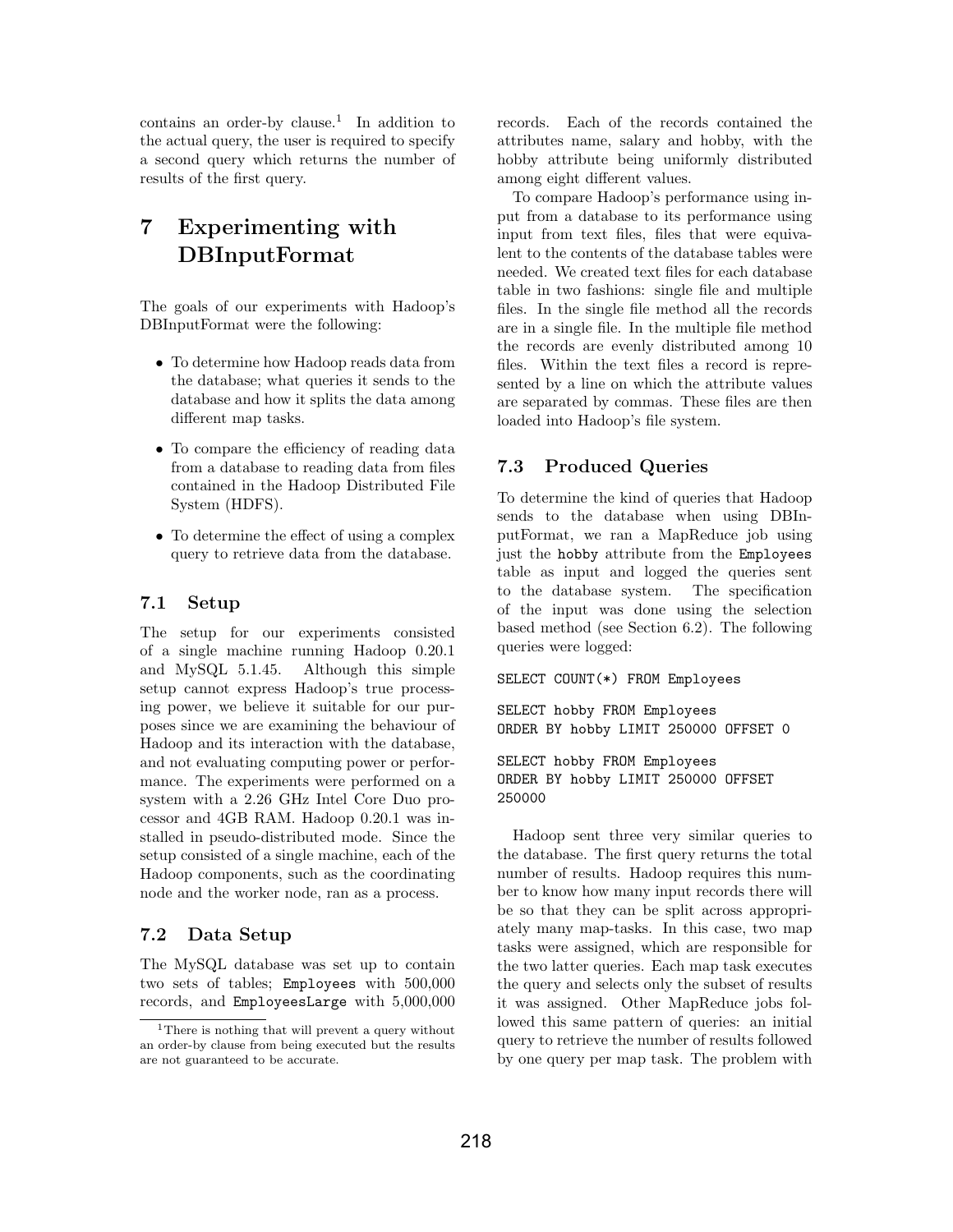contains an order-by clause.<sup>1</sup> In addition to the actual query, the user is required to specify a second query which returns the number of results of the first query.

# 7 Experimenting with DBInputFormat

The goals of our experiments with Hadoop's DBInputFormat were the following:

- *•* To determine how Hadoop reads data from the database; what queries it sends to the database and how it splits the data among different map tasks.
- To compare the efficiency of reading data from a database to reading data from files contained in the Hadoop Distributed File System (HDFS).
- *•* To determine the effect of using a complex query to retrieve data from the database.

### 7.1 Setup

The setup for our experiments consisted of a single machine running Hadoop 0.20.1 and MySQL 5.1.45. Although this simple setup cannot express Hadoop's true processing power, we believe it suitable for our purposes since we are examining the behaviour of Hadoop and its interaction with the database, and not evaluating computing power or performance. The experiments were performed on a system with a 2.26 GHz Intel Core Duo processor and 4GB RAM. Hadoop 0.20.1 was installed in pseudo-distributed mode. Since the setup consisted of a single machine, each of the Hadoop components, such as the coordinating node and the worker node, ran as a process.

### 7.2 Data Setup

The MySQL database was set up to contain two sets of tables; Employees with 500,000 records, and EmployeesLarge with 5,000,000 records. Each of the records contained the attributes name, salary and hobby, with the hobby attribute being uniformly distributed among eight different values.

To compare Hadoop's performance using input from a database to its performance using input from text files, files that were equivalent to the contents of the database tables were needed. We created text files for each database table in two fashions: single file and multiple files. In the single file method all the records are in a single file. In the multiple file method the records are evenly distributed among 10 files. Within the text files a record is represented by a line on which the attribute values are separated by commas. These files are then loaded into Hadoop's file system.

### 7.3 Produced Queries

To determine the kind of queries that Hadoop sends to the database when using DBInputFormat, we ran a MapReduce job using just the hobby attribute from the Employees table as input and logged the queries sent to the database system. The specification of the input was done using the selection based method (see Section 6.2). The following queries were logged:

SELECT COUNT(\*) FROM Employees

SELECT hobby FROM Employees ORDER BY hobby LIMIT 250000 OFFSET 0

SELECT hobby FROM Employees ORDER BY hobby LIMIT 250000 OFFSET 250000

Hadoop sent three very similar queries to the database. The first query returns the total number of results. Hadoop requires this number to know how many input records there will be so that they can be split across appropriately many map-tasks. In this case, two map tasks were assigned, which are responsible for the two latter queries. Each map task executes the query and selects only the subset of results it was assigned. Other MapReduce jobs followed this same pattern of queries: an initial query to retrieve the number of results followed by one query per map task. The problem with

<sup>&</sup>lt;sup>1</sup>There is nothing that will prevent a query without an order-by clause from being executed but the results are not guaranteed to be accurate.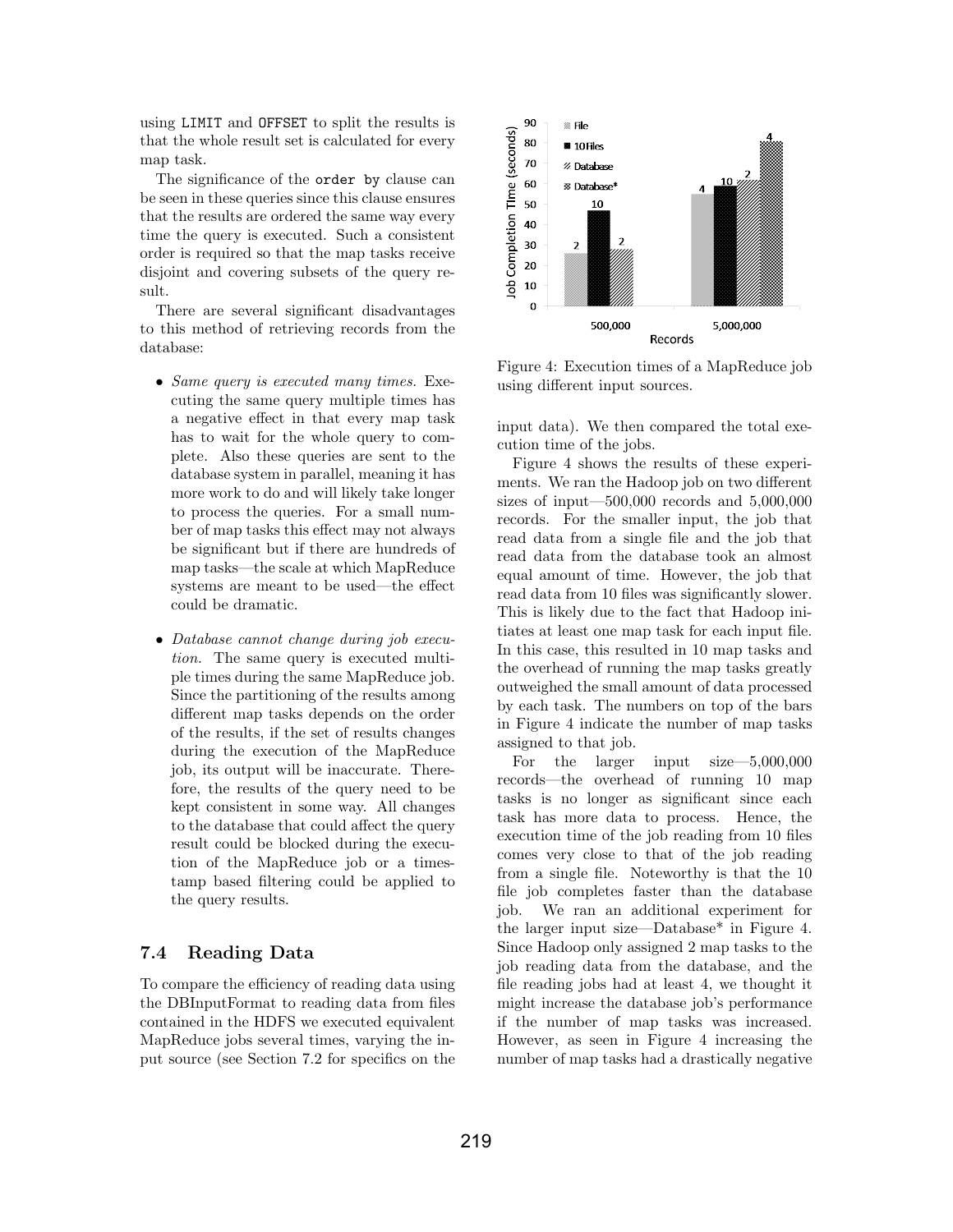using LIMIT and OFFSET to split the results is that the whole result set is calculated for every map task.

The significance of the order by clause can be seen in these queries since this clause ensures that the results are ordered the same way every time the query is executed. Such a consistent order is required so that the map tasks receive disjoint and covering subsets of the query result.

There are several significant disadvantages to this method of retrieving records from the database:

- *• Same query is executed many times.* Executing the same query multiple times has a negative effect in that every map task has to wait for the whole query to complete. Also these queries are sent to the database system in parallel, meaning it has more work to do and will likely take longer to process the queries. For a small number of map tasks this effect may not always be significant but if there are hundreds of map tasks—the scale at which MapReduce systems are meant to be used—the effect could be dramatic.
- *• Database cannot change during job execution.* The same query is executed multiple times during the same MapReduce job. Since the partitioning of the results among different map tasks depends on the order of the results, if the set of results changes during the execution of the MapReduce job, its output will be inaccurate. Therefore, the results of the query need to be kept consistent in some way. All changes to the database that could affect the query result could be blocked during the execution of the MapReduce job or a timestamp based filtering could be applied to the query results.

### 7.4 Reading Data

To compare the efficiency of reading data using the DBInputFormat to reading data from files contained in the HDFS we executed equivalent MapReduce jobs several times, varying the input source (see Section 7.2 for specifics on the



Figure 4: Execution times of a MapReduce job using different input sources.

input data). We then compared the total execution time of the jobs.

Figure 4 shows the results of these experiments. We ran the Hadoop job on two different sizes of input—500,000 records and 5,000,000 records. For the smaller input, the job that read data from a single file and the job that read data from the database took an almost equal amount of time. However, the job that read data from 10 files was significantly slower. This is likely due to the fact that Hadoop initiates at least one map task for each input file. In this case, this resulted in 10 map tasks and the overhead of running the map tasks greatly outweighed the small amount of data processed by each task. The numbers on top of the bars in Figure 4 indicate the number of map tasks assigned to that job.

For the larger input size—5,000,000 records—the overhead of running 10 map tasks is no longer as significant since each task has more data to process. Hence, the execution time of the job reading from 10 files comes very close to that of the job reading from a single file. Noteworthy is that the 10 file job completes faster than the database job. We ran an additional experiment for the larger input size—Database\* in Figure 4. Since Hadoop only assigned 2 map tasks to the job reading data from the database, and the file reading jobs had at least 4, we thought it might increase the database job's performance if the number of map tasks was increased. However, as seen in Figure 4 increasing the number of map tasks had a drastically negative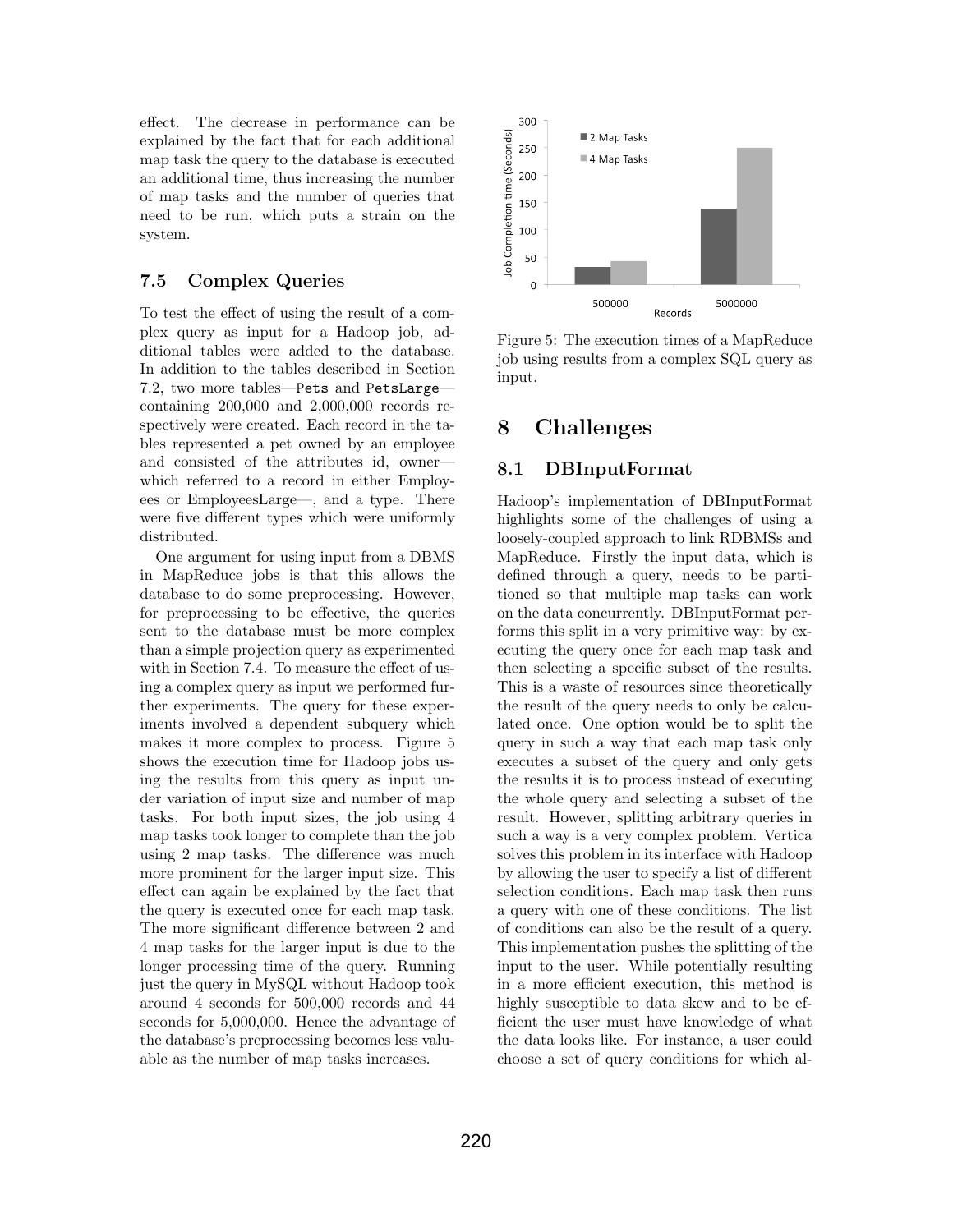effect. The decrease in performance can be explained by the fact that for each additional map task the query to the database is executed an additional time, thus increasing the number of map tasks and the number of queries that need to be run, which puts a strain on the system.

### 7.5 Complex Queries

To test the effect of using the result of a complex query as input for a Hadoop job, additional tables were added to the database. In addition to the tables described in Section 7.2, two more tables—Pets and PetsLarge containing 200,000 and 2,000,000 records respectively were created. Each record in the tables represented a pet owned by an employee and consisted of the attributes id, owner which referred to a record in either Employees or EmployeesLarge—, and a type. There were five different types which were uniformly distributed.

One argument for using input from a DBMS in MapReduce jobs is that this allows the database to do some preprocessing. However, for preprocessing to be effective, the queries sent to the database must be more complex than a simple projection query as experimented with in Section 7.4. To measure the effect of using a complex query as input we performed further experiments. The query for these experiments involved a dependent subquery which makes it more complex to process. Figure 5 shows the execution time for Hadoop jobs using the results from this query as input under variation of input size and number of map tasks. For both input sizes, the job using 4 map tasks took longer to complete than the job using 2 map tasks. The difference was much more prominent for the larger input size. This effect can again be explained by the fact that the query is executed once for each map task. The more significant difference between 2 and 4 map tasks for the larger input is due to the longer processing time of the query. Running just the query in MySQL without Hadoop took around 4 seconds for 500,000 records and 44 seconds for 5,000,000. Hence the advantage of the database's preprocessing becomes less valuable as the number of map tasks increases.



Figure 5: The execution times of a MapReduce job using results from a complex SQL query as input.

## 8 Challenges

#### 8.1 DBInputFormat

Hadoop's implementation of DBInputFormat highlights some of the challenges of using a loosely-coupled approach to link RDBMSs and MapReduce. Firstly the input data, which is defined through a query, needs to be partitioned so that multiple map tasks can work on the data concurrently. DBInputFormat performs this split in a very primitive way: by executing the query once for each map task and then selecting a specific subset of the results. This is a waste of resources since theoretically the result of the query needs to only be calculated once. One option would be to split the query in such a way that each map task only executes a subset of the query and only gets the results it is to process instead of executing the whole query and selecting a subset of the result. However, splitting arbitrary queries in such a way is a very complex problem. Vertica solves this problem in its interface with Hadoop by allowing the user to specify a list of different selection conditions. Each map task then runs a query with one of these conditions. The list of conditions can also be the result of a query. This implementation pushes the splitting of the input to the user. While potentially resulting in a more efficient execution, this method is highly susceptible to data skew and to be efficient the user must have knowledge of what the data looks like. For instance, a user could choose a set of query conditions for which al-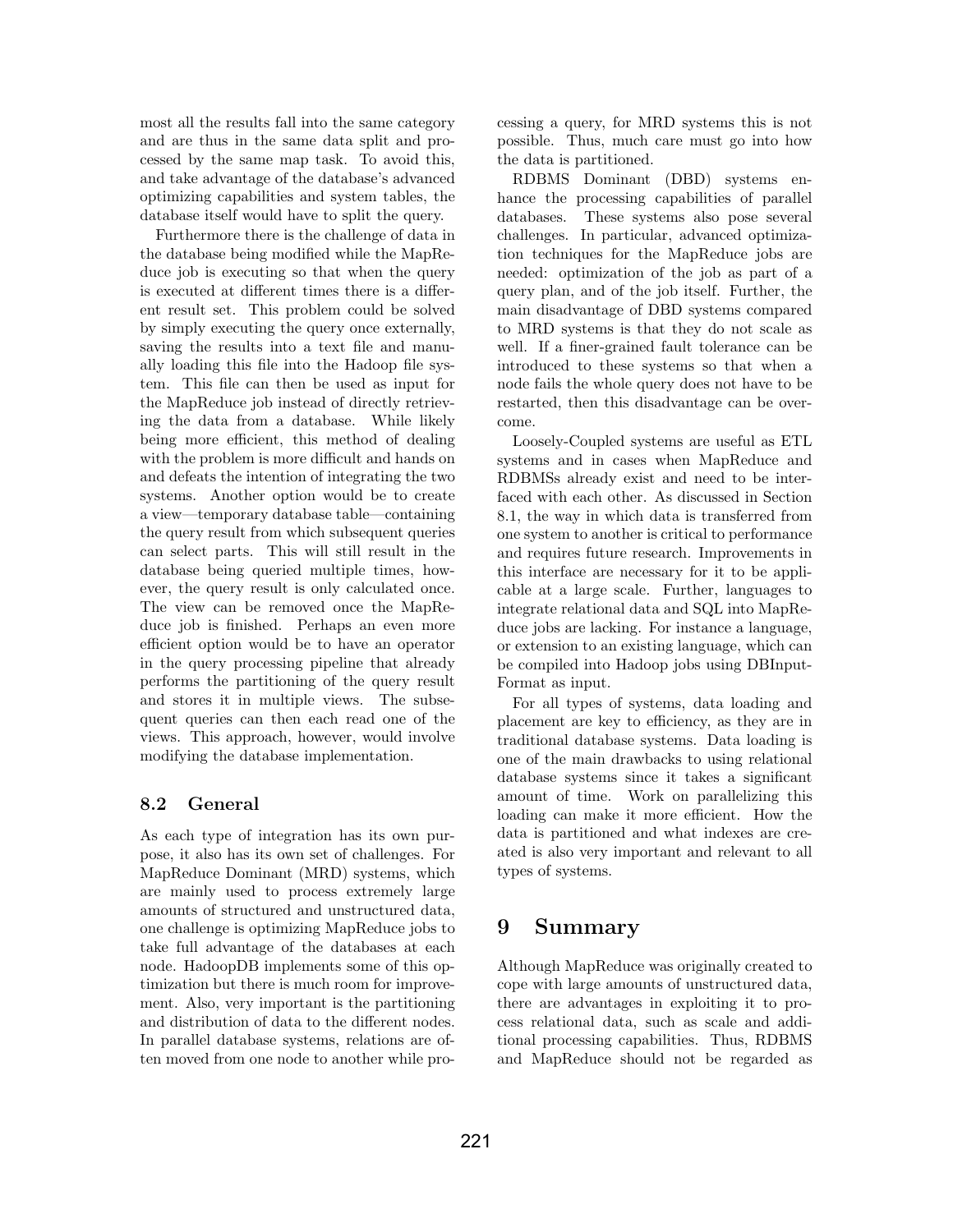most all the results fall into the same category and are thus in the same data split and processed by the same map task. To avoid this, and take advantage of the database's advanced optimizing capabilities and system tables, the database itself would have to split the query.

Furthermore there is the challenge of data in the database being modified while the MapReduce job is executing so that when the query is executed at different times there is a different result set. This problem could be solved by simply executing the query once externally, saving the results into a text file and manually loading this file into the Hadoop file system. This file can then be used as input for the MapReduce job instead of directly retrieving the data from a database. While likely being more efficient, this method of dealing with the problem is more difficult and hands on and defeats the intention of integrating the two systems. Another option would be to create a view—temporary database table—containing the query result from which subsequent queries can select parts. This will still result in the database being queried multiple times, however, the query result is only calculated once. The view can be removed once the MapReduce job is finished. Perhaps an even more efficient option would be to have an operator in the query processing pipeline that already performs the partitioning of the query result and stores it in multiple views. The subsequent queries can then each read one of the views. This approach, however, would involve modifying the database implementation.

### 8.2 General

As each type of integration has its own purpose, it also has its own set of challenges. For MapReduce Dominant (MRD) systems, which are mainly used to process extremely large amounts of structured and unstructured data, one challenge is optimizing MapReduce jobs to take full advantage of the databases at each node. HadoopDB implements some of this optimization but there is much room for improvement. Also, very important is the partitioning and distribution of data to the different nodes. In parallel database systems, relations are often moved from one node to another while processing a query, for MRD systems this is not possible. Thus, much care must go into how the data is partitioned.

RDBMS Dominant (DBD) systems enhance the processing capabilities of parallel databases. These systems also pose several challenges. In particular, advanced optimization techniques for the MapReduce jobs are needed: optimization of the job as part of a query plan, and of the job itself. Further, the main disadvantage of DBD systems compared to MRD systems is that they do not scale as well. If a finer-grained fault tolerance can be introduced to these systems so that when a node fails the whole query does not have to be restarted, then this disadvantage can be overcome.

Loosely-Coupled systems are useful as ETL systems and in cases when MapReduce and RDBMSs already exist and need to be interfaced with each other. As discussed in Section 8.1, the way in which data is transferred from one system to another is critical to performance and requires future research. Improvements in this interface are necessary for it to be applicable at a large scale. Further, languages to integrate relational data and SQL into MapReduce jobs are lacking. For instance a language, or extension to an existing language, which can be compiled into Hadoop jobs using DBInput-Format as input.

For all types of systems, data loading and placement are key to efficiency, as they are in traditional database systems. Data loading is one of the main drawbacks to using relational database systems since it takes a significant amount of time. Work on parallelizing this loading can make it more efficient. How the data is partitioned and what indexes are created is also very important and relevant to all types of systems.

## 9 Summary

Although MapReduce was originally created to cope with large amounts of unstructured data, there are advantages in exploiting it to process relational data, such as scale and additional processing capabilities. Thus, RDBMS and MapReduce should not be regarded as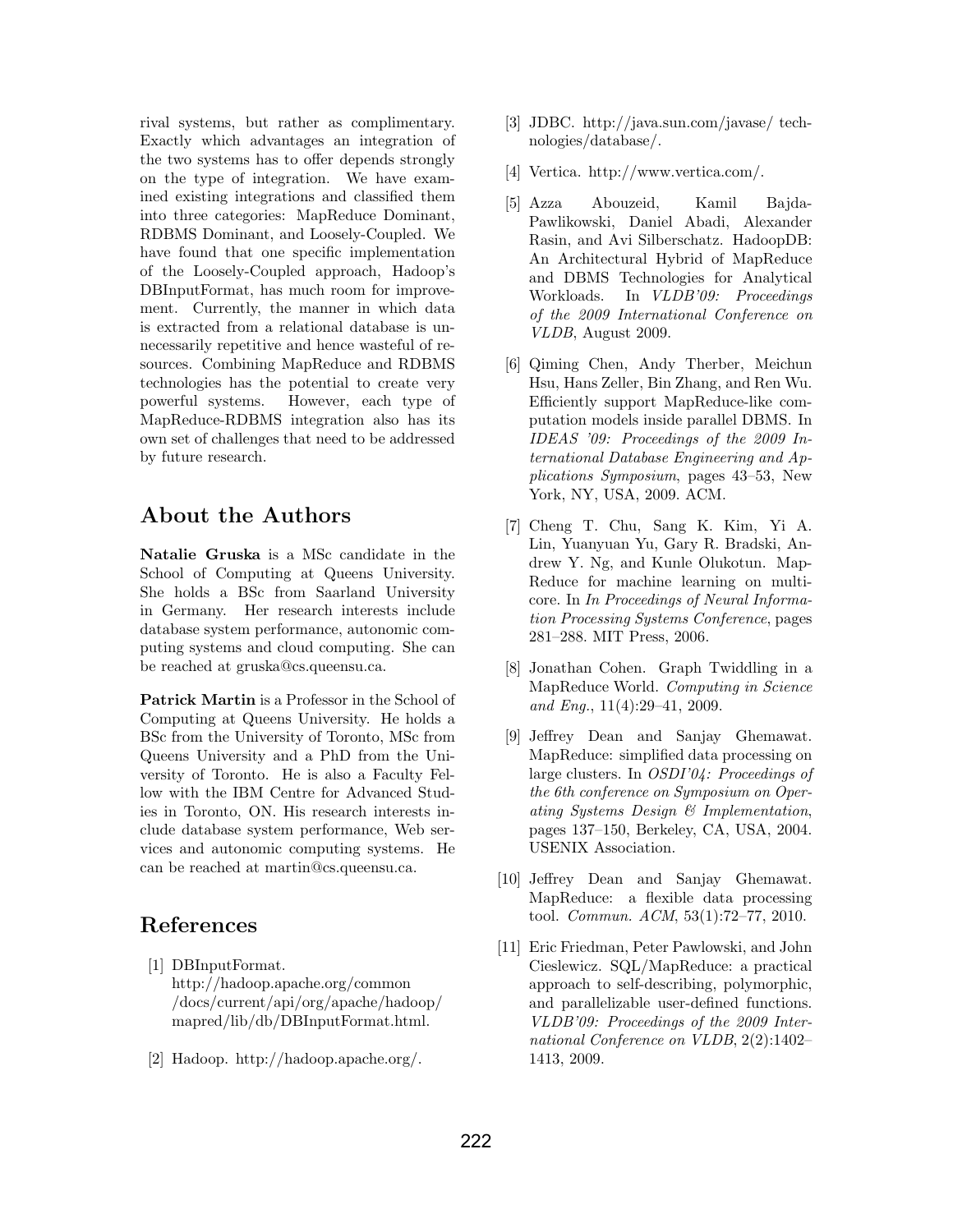rival systems, but rather as complimentary. Exactly which advantages an integration of the two systems has to offer depends strongly on the type of integration. We have examined existing integrations and classified them into three categories: MapReduce Dominant, RDBMS Dominant, and Loosely-Coupled. We have found that one specific implementation of the Loosely-Coupled approach, Hadoop's DBInputFormat, has much room for improvement. Currently, the manner in which data is extracted from a relational database is unnecessarily repetitive and hence wasteful of resources. Combining MapReduce and RDBMS technologies has the potential to create very powerful systems. However, each type of MapReduce-RDBMS integration also has its own set of challenges that need to be addressed by future research.

## About the Authors

Natalie Gruska is a MSc candidate in the School of Computing at Queens University. She holds a BSc from Saarland University in Germany. Her research interests include database system performance, autonomic computing systems and cloud computing. She can be reached at gruska@cs.queensu.ca.

Patrick Martin is a Professor in the School of Computing at Queens University. He holds a BSc from the University of Toronto, MSc from Queens University and a PhD from the University of Toronto. He is also a Faculty Fellow with the IBM Centre for Advanced Studies in Toronto, ON. His research interests include database system performance, Web services and autonomic computing systems. He can be reached at martin@cs.queensu.ca.

# References

- [1] DBInputFormat. http://hadoop.apache.org/common /docs/current/api/org/apache/hadoop/ mapred/lib/db/DBInputFormat.html.
- [2] Hadoop. http://hadoop.apache.org/.
- [3] JDBC. http://java.sun.com/javase/ technologies/database/.
- [4] Vertica. http://www.vertica.com/.
- [5] Azza Abouzeid, Kamil Bajda-Pawlikowski, Daniel Abadi, Alexander Rasin, and Avi Silberschatz. HadoopDB: An Architectural Hybrid of MapReduce and DBMS Technologies for Analytical Workloads. In *VLDB'09: Proceedings of the 2009 International Conference on VLDB*, August 2009.
- [6] Qiming Chen, Andy Therber, Meichun Hsu, Hans Zeller, Bin Zhang, and Ren Wu. Efficiently support MapReduce-like computation models inside parallel DBMS. In *IDEAS '09: Proceedings of the 2009 International Database Engineering and Applications Symposium*, pages 43–53, New York, NY, USA, 2009. ACM.
- [7] Cheng T. Chu, Sang K. Kim, Yi A. Lin, Yuanyuan Yu, Gary R. Bradski, Andrew Y. Ng, and Kunle Olukotun. Map-Reduce for machine learning on multicore. In *In Proceedings of Neural Information Processing Systems Conference*, pages 281–288. MIT Press, 2006.
- [8] Jonathan Cohen. Graph Twiddling in a MapReduce World. *Computing in Science and Eng.*, 11(4):29–41, 2009.
- [9] Jeffrey Dean and Sanjay Ghemawat. MapReduce: simplified data processing on large clusters. In *OSDI'04: Proceedings of the 6th conference on Symposium on Operating Systems Design & Implementation*, pages 137–150, Berkeley, CA, USA, 2004. USENIX Association.
- [10] Jeffrey Dean and Sanjay Ghemawat. MapReduce: a flexible data processing tool. *Commun. ACM*, 53(1):72–77, 2010.
- [11] Eric Friedman, Peter Pawlowski, and John Cieslewicz. SQL/MapReduce: a practical approach to self-describing, polymorphic, and parallelizable user-defined functions. *VLDB'09: Proceedings of the 2009 International Conference on VLDB*, 2(2):1402– 1413, 2009.